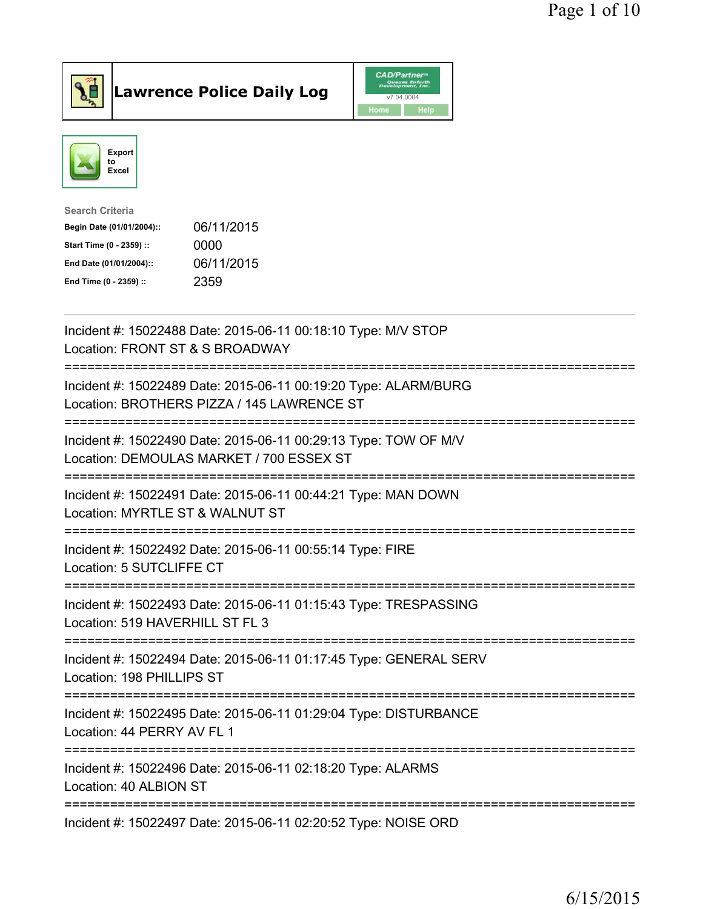



| <b>Search Criteria</b>    |            |
|---------------------------|------------|
| Begin Date (01/01/2004):: | 06/11/2015 |
| Start Time (0 - 2359) ::  | 0000       |
| End Date (01/01/2004)::   | 06/11/2015 |
| End Time (0 - 2359) ::    | 2359       |

| Incident #: 15022488 Date: 2015-06-11 00:18:10 Type: M/V STOP<br>Location: FRONT ST & S BROADWAY                                                                     |
|----------------------------------------------------------------------------------------------------------------------------------------------------------------------|
| Incident #: 15022489 Date: 2015-06-11 00:19:20 Type: ALARM/BURG<br>Location: BROTHERS PIZZA / 145 LAWRENCE ST<br>----------------------                              |
| Incident #: 15022490 Date: 2015-06-11 00:29:13 Type: TOW OF M/V<br>Location: DEMOULAS MARKET / 700 ESSEX ST                                                          |
| Incident #: 15022491 Date: 2015-06-11 00:44:21 Type: MAN DOWN<br>Location: MYRTLE ST & WALNUT ST<br>.___________<br>---------------------                            |
| Incident #: 15022492 Date: 2015-06-11 00:55:14 Type: FIRE<br>Location: 5 SUTCLIFFE CT<br>=================                                                           |
| Incident #: 15022493 Date: 2015-06-11 01:15:43 Type: TRESPASSING<br>Location: 519 HAVERHILL ST FL 3                                                                  |
| ======================================<br>------------------------<br>Incident #: 15022494 Date: 2015-06-11 01:17:45 Type: GENERAL SERV<br>Location: 198 PHILLIPS ST |
| Incident #: 15022495 Date: 2015-06-11 01:29:04 Type: DISTURBANCE<br>Location: 44 PERRY AV FL 1                                                                       |
| ==================<br>Incident #: 15022496 Date: 2015-06-11 02:18:20 Type: ALARMS<br>Location: 40 ALBION ST                                                          |
| Incident #: 15022497 Date: 2015-06-11 02:20:52 Type: NOISE ORD                                                                                                       |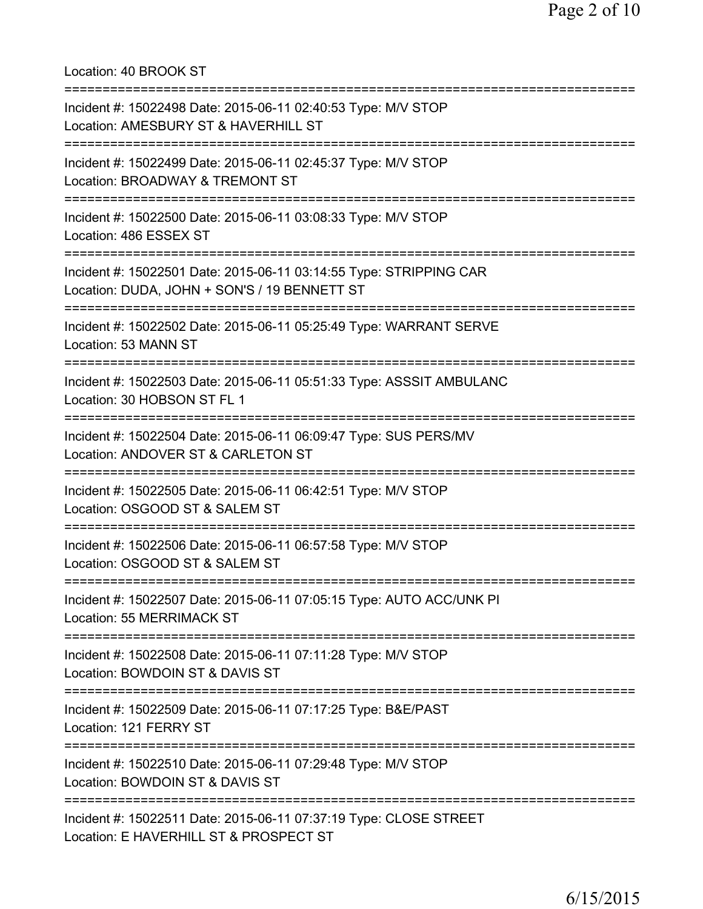Location: 40 BROOK ST =========================================================================== Incident #: 15022498 Date: 2015-06-11 02:40:53 Type: M/V STOP Location: AMESBURY ST & HAVERHILL ST =========================================================================== Incident #: 15022499 Date: 2015-06-11 02:45:37 Type: M/V STOP Location: BROADWAY & TREMONT ST =========================================================================== Incident #: 15022500 Date: 2015-06-11 03:08:33 Type: M/V STOP Location: 486 ESSEX ST =========================================================================== Incident #: 15022501 Date: 2015-06-11 03:14:55 Type: STRIPPING CAR Location: DUDA, JOHN + SON'S / 19 BENNETT ST =========================================================================== Incident #: 15022502 Date: 2015-06-11 05:25:49 Type: WARRANT SERVE Location: 53 MANN ST =========================================================================== Incident #: 15022503 Date: 2015-06-11 05:51:33 Type: ASSSIT AMBULANC Location: 30 HOBSON ST FL 1 =========================================================================== Incident #: 15022504 Date: 2015-06-11 06:09:47 Type: SUS PERS/MV Location: ANDOVER ST & CARLETON ST =========================================================================== Incident #: 15022505 Date: 2015-06-11 06:42:51 Type: M/V STOP Location: OSGOOD ST & SALEM ST =========================================================================== Incident #: 15022506 Date: 2015-06-11 06:57:58 Type: M/V STOP Location: OSGOOD ST & SALEM ST =========================================================================== Incident #: 15022507 Date: 2015-06-11 07:05:15 Type: AUTO ACC/UNK PI Location: 55 MERRIMACK ST =========================================================================== Incident #: 15022508 Date: 2015-06-11 07:11:28 Type: M/V STOP Location: BOWDOIN ST & DAVIS ST =========================================================================== Incident #: 15022509 Date: 2015-06-11 07:17:25 Type: B&E/PAST Location: 121 FERRY ST =========================================================================== Incident #: 15022510 Date: 2015-06-11 07:29:48 Type: M/V STOP Location: BOWDOIN ST & DAVIS ST =========================================================================== Incident #: 15022511 Date: 2015-06-11 07:37:19 Type: CLOSE STREET Location: E HAVERHILL ST & PROSPECT ST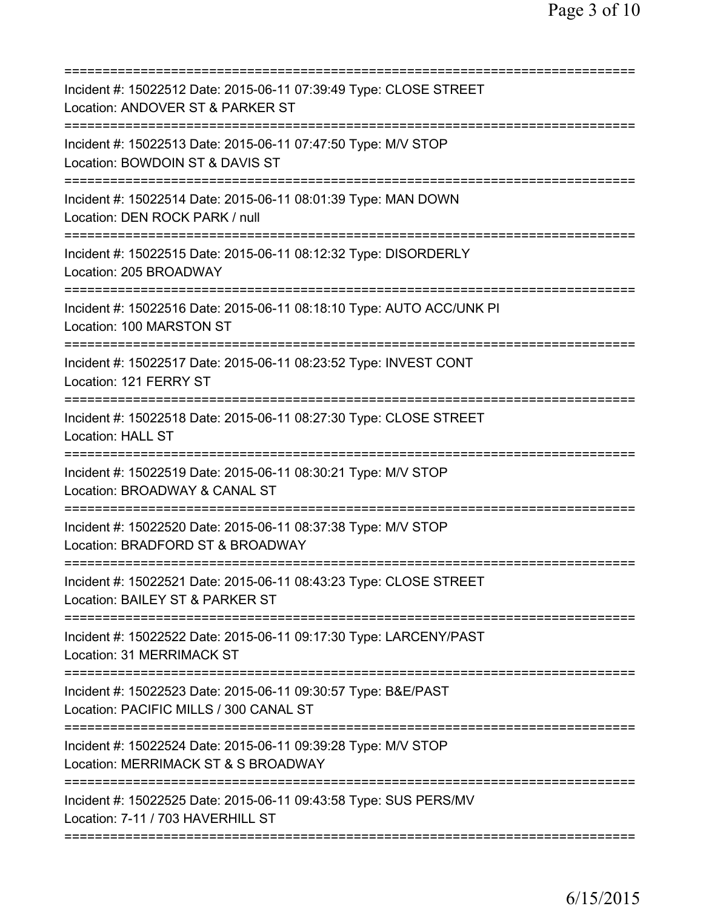| Incident #: 15022512 Date: 2015-06-11 07:39:49 Type: CLOSE STREET<br>Location: ANDOVER ST & PARKER ST                        |
|------------------------------------------------------------------------------------------------------------------------------|
| Incident #: 15022513 Date: 2015-06-11 07:47:50 Type: M/V STOP<br>Location: BOWDOIN ST & DAVIS ST                             |
| Incident #: 15022514 Date: 2015-06-11 08:01:39 Type: MAN DOWN<br>Location: DEN ROCK PARK / null                              |
| Incident #: 15022515 Date: 2015-06-11 08:12:32 Type: DISORDERLY<br>Location: 205 BROADWAY                                    |
| Incident #: 15022516 Date: 2015-06-11 08:18:10 Type: AUTO ACC/UNK PI<br>Location: 100 MARSTON ST                             |
| Incident #: 15022517 Date: 2015-06-11 08:23:52 Type: INVEST CONT<br>Location: 121 FERRY ST                                   |
| Incident #: 15022518 Date: 2015-06-11 08:27:30 Type: CLOSE STREET<br><b>Location: HALL ST</b><br>========================    |
| Incident #: 15022519 Date: 2015-06-11 08:30:21 Type: M/V STOP<br>Location: BROADWAY & CANAL ST                               |
| Incident #: 15022520 Date: 2015-06-11 08:37:38 Type: M/V STOP<br>Location: BRADFORD ST & BROADWAY                            |
| Incident #: 15022521 Date: 2015-06-11 08:43:23 Type: CLOSE STREET<br>Location: BAILEY ST & PARKER ST                         |
| ==========================<br>Incident #: 15022522 Date: 2015-06-11 09:17:30 Type: LARCENY/PAST<br>Location: 31 MERRIMACK ST |
| Incident #: 15022523 Date: 2015-06-11 09:30:57 Type: B&E/PAST<br>Location: PACIFIC MILLS / 300 CANAL ST                      |
| Incident #: 15022524 Date: 2015-06-11 09:39:28 Type: M/V STOP<br>Location: MERRIMACK ST & S BROADWAY                         |
| Incident #: 15022525 Date: 2015-06-11 09:43:58 Type: SUS PERS/MV<br>Location: 7-11 / 703 HAVERHILL ST                        |
|                                                                                                                              |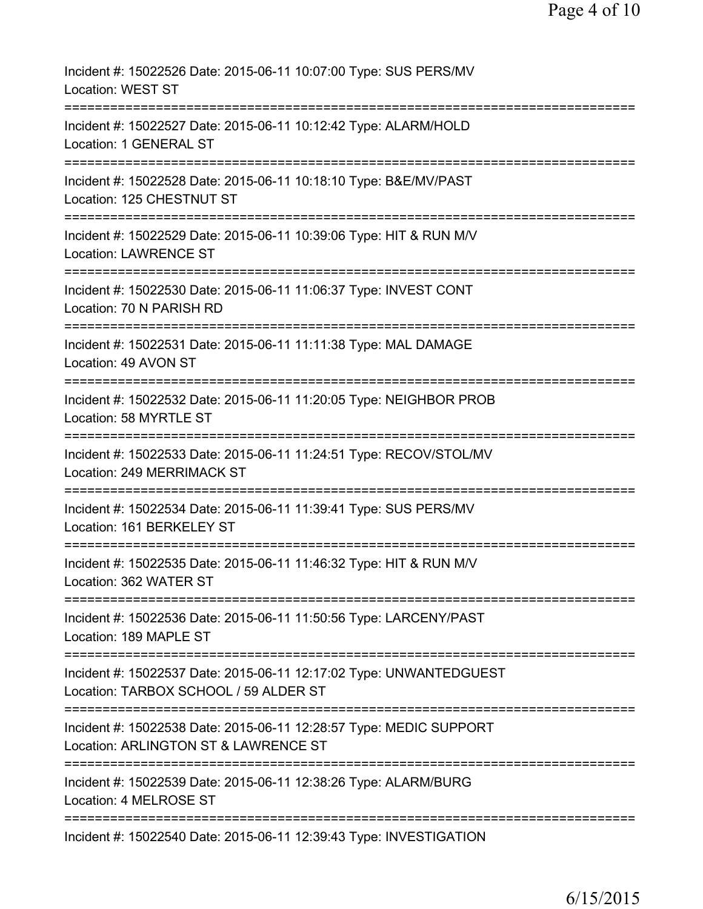| Incident #: 15022526 Date: 2015-06-11 10:07:00 Type: SUS PERS/MV<br>Location: WEST ST                                       |
|-----------------------------------------------------------------------------------------------------------------------------|
| Incident #: 15022527 Date: 2015-06-11 10:12:42 Type: ALARM/HOLD<br>Location: 1 GENERAL ST                                   |
| Incident #: 15022528 Date: 2015-06-11 10:18:10 Type: B&E/MV/PAST<br>Location: 125 CHESTNUT ST                               |
| Incident #: 15022529 Date: 2015-06-11 10:39:06 Type: HIT & RUN M/V<br><b>Location: LAWRENCE ST</b><br>---------------       |
| Incident #: 15022530 Date: 2015-06-11 11:06:37 Type: INVEST CONT<br>Location: 70 N PARISH RD                                |
| Incident #: 15022531 Date: 2015-06-11 11:11:38 Type: MAL DAMAGE<br>Location: 49 AVON ST                                     |
| Incident #: 15022532 Date: 2015-06-11 11:20:05 Type: NEIGHBOR PROB<br>Location: 58 MYRTLE ST                                |
| Incident #: 15022533 Date: 2015-06-11 11:24:51 Type: RECOV/STOL/MV<br>Location: 249 MERRIMACK ST                            |
| Incident #: 15022534 Date: 2015-06-11 11:39:41 Type: SUS PERS/MV<br>Location: 161 BERKELEY ST                               |
| Incident #: 15022535 Date: 2015-06-11 11:46:32 Type: HIT & RUN M/V<br>Location: 362 WATER ST                                |
| ============================<br>Incident #: 15022536 Date: 2015-06-11 11:50:56 Type: LARCENY/PAST<br>Location: 189 MAPLE ST |
| Incident #: 15022537 Date: 2015-06-11 12:17:02 Type: UNWANTEDGUEST<br>Location: TARBOX SCHOOL / 59 ALDER ST                 |
| Incident #: 15022538 Date: 2015-06-11 12:28:57 Type: MEDIC SUPPORT<br>Location: ARLINGTON ST & LAWRENCE ST                  |
| Incident #: 15022539 Date: 2015-06-11 12:38:26 Type: ALARM/BURG<br>Location: 4 MELROSE ST                                   |
| Incident #: 15022540 Date: 2015-06-11 12:39:43 Type: INVESTIGATION                                                          |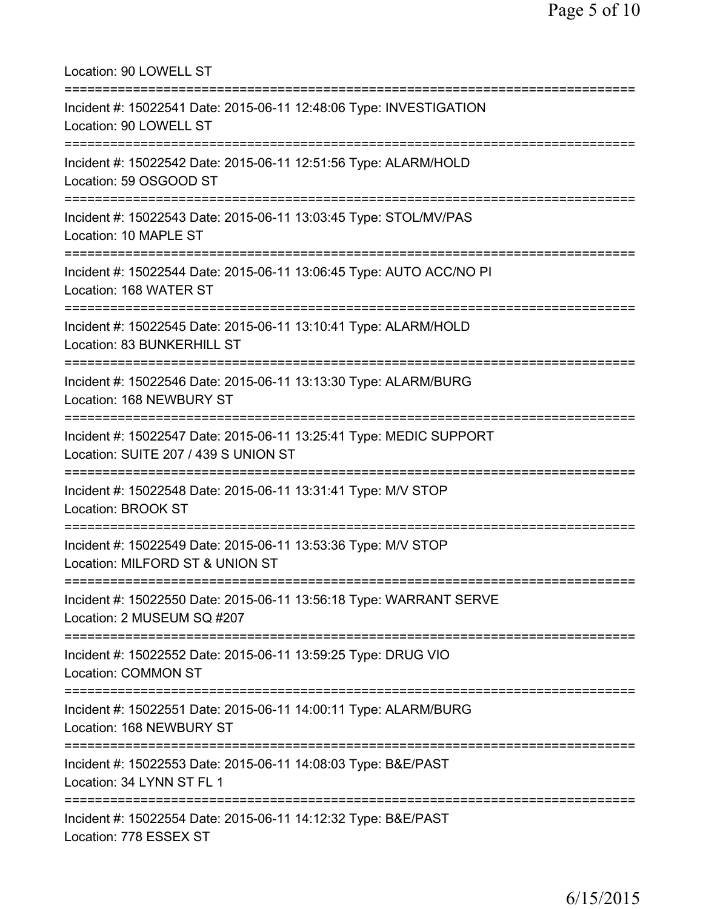Location: 90 LOWELL ST =========================================================================== Incident #: 15022541 Date: 2015-06-11 12:48:06 Type: INVESTIGATION Location: 90 LOWELL ST =========================================================================== Incident #: 15022542 Date: 2015-06-11 12:51:56 Type: ALARM/HOLD Location: 59 OSGOOD ST =========================================================================== Incident #: 15022543 Date: 2015-06-11 13:03:45 Type: STOL/MV/PAS Location: 10 MAPLE ST =========================================================================== Incident #: 15022544 Date: 2015-06-11 13:06:45 Type: AUTO ACC/NO PI Location: 168 WATER ST =========================================================================== Incident #: 15022545 Date: 2015-06-11 13:10:41 Type: ALARM/HOLD Location: 83 BUNKERHILL ST =========================================================================== Incident #: 15022546 Date: 2015-06-11 13:13:30 Type: ALARM/BURG Location: 168 NEWBURY ST =========================================================================== Incident #: 15022547 Date: 2015-06-11 13:25:41 Type: MEDIC SUPPORT Location: SUITE 207 / 439 S UNION ST =========================================================================== Incident #: 15022548 Date: 2015-06-11 13:31:41 Type: M/V STOP Location: BROOK ST =========================================================================== Incident #: 15022549 Date: 2015-06-11 13:53:36 Type: M/V STOP Location: MILFORD ST & UNION ST =========================================================================== Incident #: 15022550 Date: 2015-06-11 13:56:18 Type: WARRANT SERVE Location: 2 MUSEUM SQ #207 =========================================================================== Incident #: 15022552 Date: 2015-06-11 13:59:25 Type: DRUG VIO Location: COMMON ST =========================================================================== Incident #: 15022551 Date: 2015-06-11 14:00:11 Type: ALARM/BURG Location: 168 NEWBURY ST =========================================================================== Incident #: 15022553 Date: 2015-06-11 14:08:03 Type: B&E/PAST Location: 34 LYNN ST FL 1 =========================================================================== Incident #: 15022554 Date: 2015-06-11 14:12:32 Type: B&E/PAST Location: 778 ESSEX ST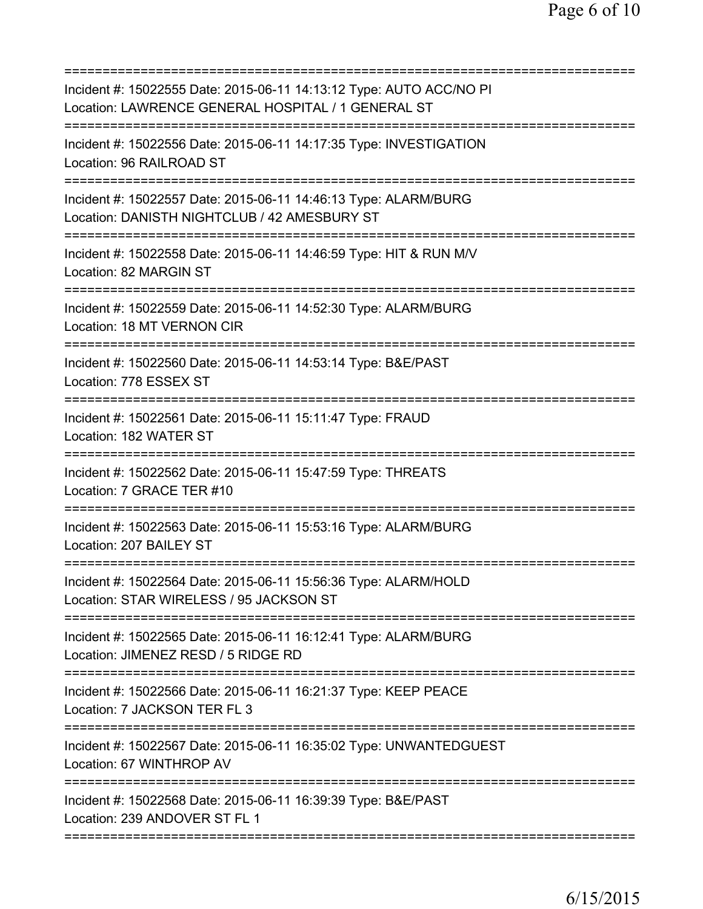| Incident #: 15022555 Date: 2015-06-11 14:13:12 Type: AUTO ACC/NO PI<br>Location: LAWRENCE GENERAL HOSPITAL / 1 GENERAL ST |
|---------------------------------------------------------------------------------------------------------------------------|
| Incident #: 15022556 Date: 2015-06-11 14:17:35 Type: INVESTIGATION<br>Location: 96 RAILROAD ST                            |
| Incident #: 15022557 Date: 2015-06-11 14:46:13 Type: ALARM/BURG<br>Location: DANISTH NIGHTCLUB / 42 AMESBURY ST           |
| Incident #: 15022558 Date: 2015-06-11 14:46:59 Type: HIT & RUN M/V<br>Location: 82 MARGIN ST                              |
| Incident #: 15022559 Date: 2015-06-11 14:52:30 Type: ALARM/BURG<br>Location: 18 MT VERNON CIR                             |
| Incident #: 15022560 Date: 2015-06-11 14:53:14 Type: B&E/PAST<br>Location: 778 ESSEX ST                                   |
| Incident #: 15022561 Date: 2015-06-11 15:11:47 Type: FRAUD<br>Location: 182 WATER ST                                      |
| Incident #: 15022562 Date: 2015-06-11 15:47:59 Type: THREATS<br>Location: 7 GRACE TER #10                                 |
| Incident #: 15022563 Date: 2015-06-11 15:53:16 Type: ALARM/BURG<br>Location: 207 BAILEY ST                                |
| Incident #: 15022564 Date: 2015-06-11 15:56:36 Type: ALARM/HOLD<br>Location: STAR WIRELESS / 95 JACKSON ST                |
| Incident #: 15022565 Date: 2015-06-11 16:12:41 Type: ALARM/BURG<br>Location: JIMENEZ RESD / 5 RIDGE RD                    |
| Incident #: 15022566 Date: 2015-06-11 16:21:37 Type: KEEP PEACE<br>Location: 7 JACKSON TER FL 3                           |
| Incident #: 15022567 Date: 2015-06-11 16:35:02 Type: UNWANTEDGUEST<br>Location: 67 WINTHROP AV                            |
| Incident #: 15022568 Date: 2015-06-11 16:39:39 Type: B&E/PAST<br>Location: 239 ANDOVER ST FL 1                            |
|                                                                                                                           |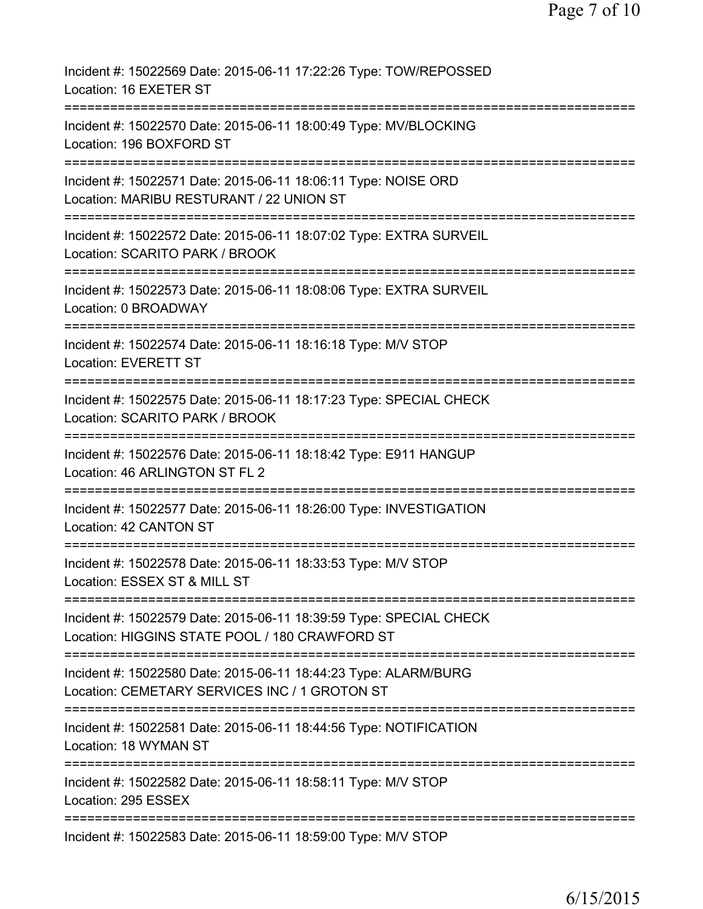| Incident #: 15022569 Date: 2015-06-11 17:22:26 Type: TOW/REPOSSED<br>Location: 16 EXETER ST                                         |
|-------------------------------------------------------------------------------------------------------------------------------------|
| Incident #: 15022570 Date: 2015-06-11 18:00:49 Type: MV/BLOCKING<br>Location: 196 BOXFORD ST                                        |
| Incident #: 15022571 Date: 2015-06-11 18:06:11 Type: NOISE ORD<br>Location: MARIBU RESTURANT / 22 UNION ST                          |
| Incident #: 15022572 Date: 2015-06-11 18:07:02 Type: EXTRA SURVEIL<br>Location: SCARITO PARK / BROOK                                |
| Incident #: 15022573 Date: 2015-06-11 18:08:06 Type: EXTRA SURVEIL<br>Location: 0 BROADWAY                                          |
| Incident #: 15022574 Date: 2015-06-11 18:16:18 Type: M/V STOP<br><b>Location: EVERETT ST</b><br>;================================== |
| Incident #: 15022575 Date: 2015-06-11 18:17:23 Type: SPECIAL CHECK<br>Location: SCARITO PARK / BROOK<br>==============              |
| Incident #: 15022576 Date: 2015-06-11 18:18:42 Type: E911 HANGUP<br>Location: 46 ARLINGTON ST FL 2<br>================              |
| Incident #: 15022577 Date: 2015-06-11 18:26:00 Type: INVESTIGATION<br>Location: 42 CANTON ST                                        |
| Incident #: 15022578 Date: 2015-06-11 18:33:53 Type: M/V STOP<br>Location: ESSEX ST & MILL ST                                       |
| Incident #: 15022579 Date: 2015-06-11 18:39:59 Type: SPECIAL CHECK<br>Location: HIGGINS STATE POOL / 180 CRAWFORD ST                |
| Incident #: 15022580 Date: 2015-06-11 18:44:23 Type: ALARM/BURG<br>Location: CEMETARY SERVICES INC / 1 GROTON ST                    |
| Incident #: 15022581 Date: 2015-06-11 18:44:56 Type: NOTIFICATION<br>Location: 18 WYMAN ST                                          |
| Incident #: 15022582 Date: 2015-06-11 18:58:11 Type: M/V STOP<br>Location: 295 ESSEX                                                |
| Incident #: 15022583 Date: 2015-06-11 18:59:00 Type: M/V STOP                                                                       |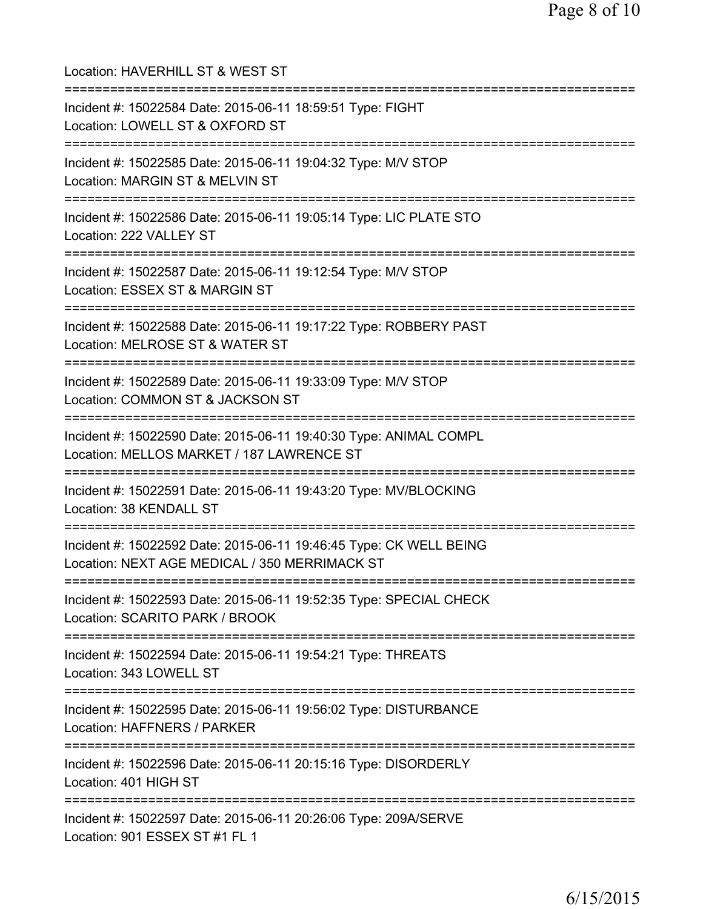| Location: HAVERHILL ST & WEST ST                                                                                                                   |
|----------------------------------------------------------------------------------------------------------------------------------------------------|
| Incident #: 15022584 Date: 2015-06-11 18:59:51 Type: FIGHT<br>Location: LOWELL ST & OXFORD ST<br>:=========================                        |
| Incident #: 15022585 Date: 2015-06-11 19:04:32 Type: M/V STOP<br>Location: MARGIN ST & MELVIN ST<br>=======================                        |
| Incident #: 15022586 Date: 2015-06-11 19:05:14 Type: LIC PLATE STO<br>Location: 222 VALLEY ST                                                      |
| Incident #: 15022587 Date: 2015-06-11 19:12:54 Type: M/V STOP<br>Location: ESSEX ST & MARGIN ST                                                    |
| ========================<br>Incident #: 15022588 Date: 2015-06-11 19:17:22 Type: ROBBERY PAST<br>Location: MELROSE ST & WATER ST                   |
| Incident #: 15022589 Date: 2015-06-11 19:33:09 Type: M/V STOP<br>Location: COMMON ST & JACKSON ST                                                  |
| Incident #: 15022590 Date: 2015-06-11 19:40:30 Type: ANIMAL COMPL<br>Location: MELLOS MARKET / 187 LAWRENCE ST<br>================================ |
| Incident #: 15022591 Date: 2015-06-11 19:43:20 Type: MV/BLOCKING<br>Location: 38 KENDALL ST                                                        |
| Incident #: 15022592 Date: 2015-06-11 19:46:45 Type: CK WELL BEING<br>Location: NEXT AGE MEDICAL / 350 MERRIMACK ST                                |
| Incident #: 15022593 Date: 2015-06-11 19:52:35 Type: SPECIAL CHECK<br>Location: SCARITO PARK / BROOK                                               |
| Incident #: 15022594 Date: 2015-06-11 19:54:21 Type: THREATS<br>Location: 343 LOWELL ST                                                            |
| Incident #: 15022595 Date: 2015-06-11 19:56:02 Type: DISTURBANCE<br>Location: HAFFNERS / PARKER                                                    |
| Incident #: 15022596 Date: 2015-06-11 20:15:16 Type: DISORDERLY<br>Location: 401 HIGH ST                                                           |
| Incident #: 15022597 Date: 2015-06-11 20:26:06 Type: 209A/SERVE<br>Location: 901 ESSEX ST #1 FL 1                                                  |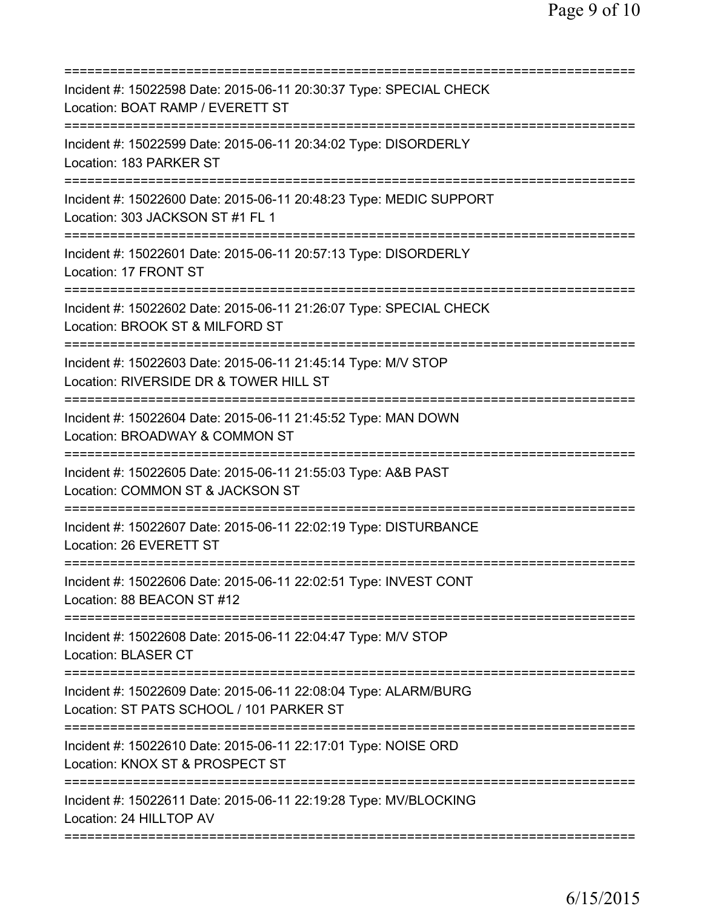| Incident #: 15022598 Date: 2015-06-11 20:30:37 Type: SPECIAL CHECK<br>Location: BOAT RAMP / EVERETT ST<br>======================<br>=========== |
|-------------------------------------------------------------------------------------------------------------------------------------------------|
| Incident #: 15022599 Date: 2015-06-11 20:34:02 Type: DISORDERLY<br>Location: 183 PARKER ST                                                      |
| Incident #: 15022600 Date: 2015-06-11 20:48:23 Type: MEDIC SUPPORT<br>Location: 303 JACKSON ST #1 FL 1                                          |
| Incident #: 15022601 Date: 2015-06-11 20:57:13 Type: DISORDERLY<br>Location: 17 FRONT ST                                                        |
| Incident #: 15022602 Date: 2015-06-11 21:26:07 Type: SPECIAL CHECK<br>Location: BROOK ST & MILFORD ST                                           |
| ==========================<br>Incident #: 15022603 Date: 2015-06-11 21:45:14 Type: M/V STOP<br>Location: RIVERSIDE DR & TOWER HILL ST           |
| Incident #: 15022604 Date: 2015-06-11 21:45:52 Type: MAN DOWN<br>Location: BROADWAY & COMMON ST                                                 |
| Incident #: 15022605 Date: 2015-06-11 21:55:03 Type: A&B PAST<br>Location: COMMON ST & JACKSON ST                                               |
| Incident #: 15022607 Date: 2015-06-11 22:02:19 Type: DISTURBANCE<br>Location: 26 EVERETT ST                                                     |
| Incident #: 15022606 Date: 2015-06-11 22:02:51 Type: INVEST CONT<br>Location: 88 BEACON ST #12                                                  |
| Incident #: 15022608 Date: 2015-06-11 22:04:47 Type: M/V STOP<br><b>Location: BLASER CT</b>                                                     |
| Incident #: 15022609 Date: 2015-06-11 22:08:04 Type: ALARM/BURG<br>Location: ST PATS SCHOOL / 101 PARKER ST                                     |
| Incident #: 15022610 Date: 2015-06-11 22:17:01 Type: NOISE ORD<br>Location: KNOX ST & PROSPECT ST                                               |
| Incident #: 15022611 Date: 2015-06-11 22:19:28 Type: MV/BLOCKING<br>Location: 24 HILLTOP AV                                                     |
|                                                                                                                                                 |